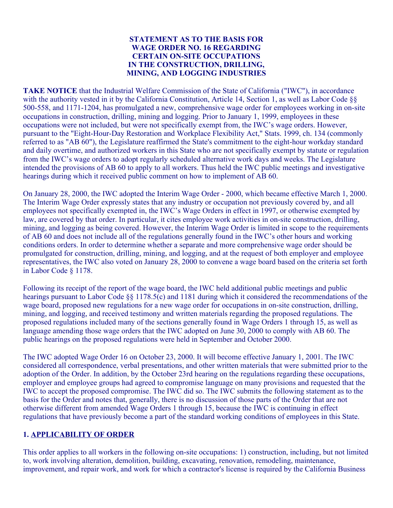#### **STATEMENT AS TO THE BASIS FOR WAGE ORDER NO. 16 REGARDING CERTAIN ON-SITE OCCUPATIONS IN THE CONSTRUCTION, DRILLING, MINING, AND LOGGING INDUSTRIES**

**TAKE NOTICE** that the Industrial Welfare Commission of the State of California ("IWC"), in accordance with the authority vested in it by the California Constitution, Article 14, Section 1, as well as Labor Code  $88$ 500-558, and 1171-1204, has promulgated a new, comprehensive wage order for employees working in on-site occupations in construction, drilling, mining and logging. Prior to January 1, 1999, employees in these occupations were not included, but were not specifically exempt from, the IWC's wage orders. However, pursuant to the "Eight-Hour-Day Restoration and Workplace Flexibility Act," Stats. 1999, ch. 134 (commonly referred to as "AB 60"), the Legislature reaffirmed the State's commitment to the eight-hour workday standard and daily overtime, and authorized workers in this State who are not specifically exempt by statute or regulation from the IWC's wage orders to adopt regularly scheduled alternative work days and weeks. The Legislature intended the provisions of AB 60 to apply to all workers. Thus held the IWC public meetings and investigative hearings during which it received public comment on how to implement of AB 60.

On January 28, 2000, the IWC adopted the Interim Wage Order - 2000, which became effective March 1, 2000. The Interim Wage Order expressly states that any industry or occupation not previously covered by, and all employees not specifically exempted in, the IWC's Wage Orders in effect in 1997, or otherwise exempted by law, are covered by that order. In particular, it cites employee work activities in on-site construction, drilling, mining, and logging as being covered. However, the Interim Wage Order is limited in scope to the requirements of AB 60 and does not include all of the regulations generally found in the IWC's other hours and working conditions orders. In order to determine whether a separate and more comprehensive wage order should be promulgated for construction, drilling, mining, and logging, and at the request of both employer and employee representatives, the IWC also voted on January 28, 2000 to convene a wage board based on the criteria set forth in Labor Code § 1178.

Following its receipt of the report of the wage board, the IWC held additional public meetings and public hearings pursuant to Labor Code §§ 1178.5(c) and 1181 during which it considered the recommendations of the wage board, proposed new regulations for a new wage order for occupations in on-site construction, drilling, mining, and logging, and received testimony and written materials regarding the proposed regulations. The proposed regulations included many of the sections generally found in Wage Orders 1 through 15, as well as language amending those wage orders that the IWC adopted on June 30, 2000 to comply with AB 60. The public hearings on the proposed regulations were held in September and October 2000.

The IWC adopted Wage Order 16 on October 23, 2000. It will become effective January 1, 2001. The IWC considered all correspondence, verbal presentations, and other written materials that were submitted prior to the adoption of the Order. In addition, by the October 23rd hearing on the regulations regarding these occupations, employer and employee groups had agreed to compromise language on many provisions and requested that the IWC to accept the proposed compromise. The IWC did so. The IWC submits the following statement as to the basis for the Order and notes that, generally, there is no discussion of those parts of the Order that are not otherwise different from amended Wage Orders 1 through 15, because the IWC is continuing in effect regulations that have previously become a part of the standard working conditions of employees in this State.

## **1. APPLICABILITY OF ORDER**

This order applies to all workers in the following on-site occupations: 1) construction, including, but not limited to, work involving alteration, demolition, building, excavating, renovation, remodeling, maintenance, improvement, and repair work, and work for which a contractor's license is required by the California Business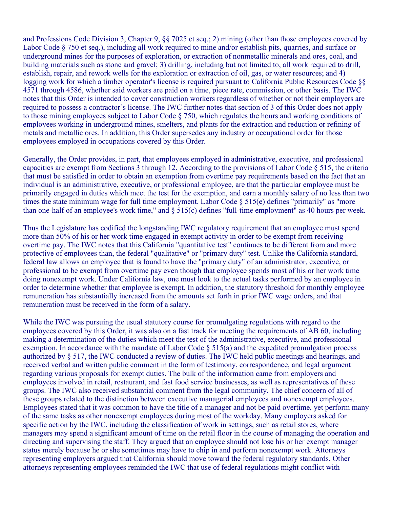and Professions Code Division 3, Chapter 9, §§ 7025 et seq.; 2) mining (other than those employees covered by Labor Code § 750 et seq.), including all work required to mine and/or establish pits, quarries, and surface or underground mines for the purposes of exploration, or extraction of nonmetallic minerals and ores, coal, and building materials such as stone and gravel; 3) drilling, including but not limited to, all work required to drill, establish, repair, and rework wells for the exploration or extraction of oil, gas, or water resources; and 4) logging work for which a timber operator's license is required pursuant to California Public Resources Code §§ 4571 through 4586, whether said workers are paid on a time, piece rate, commission, or other basis. The IWC notes that this Order is intended to cover construction workers regardless of whether or not their employers are required to possess a contractor's license. The IWC further notes that section of 3 of this Order does not apply to those mining employees subject to Labor Code § 750, which regulates the hours and working conditions of employees working in underground mines, smelters, and plants for the extraction and reduction or refining of metals and metallic ores. In addition, this Order supersedes any industry or occupational order for those employees employed in occupations covered by this Order.

Generally, the Order provides, in part, that employees employed in administrative, executive, and professional capacities are exempt from Sections 3 through 12. According to the provisions of Labor Code § 515, the criteria that must be satisfied in order to obtain an exemption from overtime pay requirements based on the fact that an individual is an administrative, executive, or professional employee, are that the particular employee must be primarily engaged in duties which meet the test for the exemption, and earn a monthly salary of no less than two times the state minimum wage for full time employment. Labor Code § 515(e) defines "primarily" as "more than one-half of an employee's work time," and § 515(c) defines "full-time employment" as 40 hours per week.

Thus the Legislature has codified the longstanding IWC regulatory requirement that an employee must spend more than 50% of his or her work time engaged in exempt activity in order to be exempt from receiving overtime pay. The IWC notes that this California "quantitative test" continues to be different from and more protective of employees than, the federal "qualitative" or "primary duty" test. Unlike the California standard, federal law allows an employee that is found to have the "primary duty" of an administrator, executive, or professional to be exempt from overtime pay even though that employee spends most of his or her work time doing nonexempt work. Under California law, one must look to the actual tasks performed by an employee in order to determine whether that employee is exempt. In addition, the statutory threshold for monthly employee remuneration has substantially increased from the amounts set forth in prior IWC wage orders, and that remuneration must be received in the form of a salary.

While the IWC was pursuing the usual statutory course for promulgating regulations with regard to the employees covered by this Order, it was also on a fast track for meeting the requirements of AB 60, including making a determination of the duties which meet the test of the administrative, executive, and professional exemption. In accordance with the mandate of Labor Code § 515(a) and the expedited promulgation process authorized by § 517, the IWC conducted a review of duties. The IWC held public meetings and hearings, and received verbal and written public comment in the form of testimony, correspondence, and legal argument regarding various proposals for exempt duties. The bulk of the information came from employers and employees involved in retail, restaurant, and fast food service businesses, as well as representatives of these groups. The IWC also received substantial comment from the legal community. The chief concern of all of these groups related to the distinction between executive managerial employees and nonexempt employees. Employees stated that it was common to have the title of a manager and not be paid overtime, yet perform many of the same tasks as other nonexempt employees during most of the workday. Many employers asked for specific action by the IWC, including the classification of work in settings, such as retail stores, where managers may spend a significant amount of time on the retail floor in the course of managing the operation and directing and supervising the staff. They argued that an employee should not lose his or her exempt manager status merely because he or she sometimes may have to chip in and perform nonexempt work. Attorneys representing employers argued that California should move toward the federal regulatory standards. Other attorneys representing employees reminded the IWC that use of federal regulations might conflict with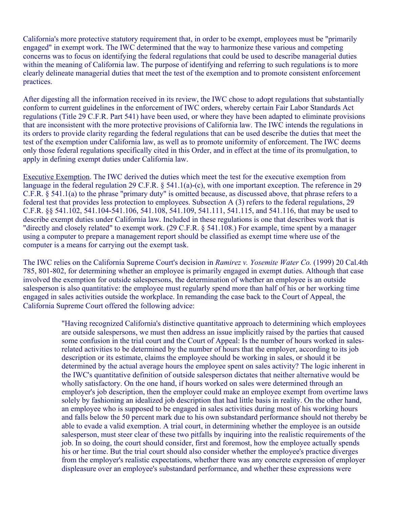California's more protective statutory requirement that, in order to be exempt, employees must be "primarily engaged" in exempt work. The IWC determined that the way to harmonize these various and competing concerns was to focus on identifying the federal regulations that could be used to describe managerial duties within the meaning of California law. The purpose of identifying and referring to such regulations is to more clearly delineate managerial duties that meet the test of the exemption and to promote consistent enforcement practices.

After digesting all the information received in its review, the IWC chose to adopt regulations that substantially conform to current guidelines in the enforcement of IWC orders, whereby certain Fair Labor Standards Act regulations (Title 29 C.F.R. Part 541) have been used, or where they have been adapted to eliminate provisions that are inconsistent with the more protective provisions of California law. The IWC intends the regulations in its orders to provide clarity regarding the federal regulations that can be used describe the duties that meet the test of the exemption under California law, as well as to promote uniformity of enforcement. The IWC deems only those federal regulations specifically cited in this Order, and in effect at the time of its promulgation, to apply in defining exempt duties under California law.

Executive Exemption. The IWC derived the duties which meet the test for the executive exemption from language in the federal regulation 29 C.F.R. § 541.1(a)-(c), with one important exception. The reference in 29 C.F.R. § 541.1(a) to the phrase "primary duty" is omitted because, as discussed above, that phrase refers to a federal test that provides less protection to employees. Subsection A (3) refers to the federal regulations, 29 C.F.R. §§ 541.102, 541.104-541.106, 541.108, 541.109, 541.111, 541.115, and 541.116, that may be used to describe exempt duties under California law. Included in these regulations is one that describes work that is "directly and closely related" to exempt work. (29 C.F.R. § 541.108.) For example, time spent by a manager using a computer to prepare a management report should be classified as exempt time where use of the computer is a means for carrying out the exempt task.

California Supreme Court offered the following advice: The IWC relies on the California Supreme Court's decision in *Ramirez v. Yosemite Water Co.* (1999) 20 Cal.4th 785, 801-802, for determining whether an employee is primarily engaged in exempt duties. Although that case involved the exemption for outside salespersons, the determination of whether an employee is an outside salesperson is also quantitative: the employee must regularly spend more than half of his or her working time engaged in sales activities outside the workplace. In remanding the case back to the Court of Appeal, the

> "Having recognized California's distinctive quantitative approach to determining which employees are outside salespersons, we must then address an issue implicitly raised by the parties that caused some confusion in the trial court and the Court of Appeal: Is the number of hours worked in salesrelated activities to be determined by the number of hours that the employer, according to its job description or its estimate, claims the employee should be working in sales, or should it be determined by the actual average hours the employee spent on sales activity? The logic inherent in the IWC's quantitative definition of outside salesperson dictates that neither alternative would be wholly satisfactory. On the one hand, if hours worked on sales were determined through an employer's job description, then the employer could make an employee exempt from overtime laws solely by fashioning an idealized job description that had little basis in reality. On the other hand, an employee who is supposed to be engaged in sales activities during most of his working hours and falls below the 50 percent mark due to his own substandard performance should not thereby be able to evade a valid exemption. A trial court, in determining whether the employee is an outside salesperson, must steer clear of these two pitfalls by inquiring into the realistic requirements of the job. In so doing, the court should consider, first and foremost, how the employee actually spends his or her time. But the trial court should also consider whether the employee's practice diverges from the employer's realistic expectations, whether there was any concrete expression of employer displeasure over an employee's substandard performance, and whether these expressions were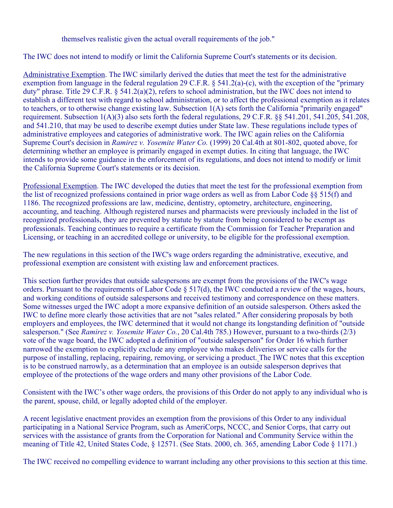themselves realistic given the actual overall requirements of the job."

The IWC does not intend to modify or limit the California Supreme Court's statements or its decision.

Administrative Exemption. The IWC similarly derived the duties that meet the test for the administrative exemption from language in the federal regulation 29 C.F.R. § 541.2(a)-(c), with the exception of the "primary duty" phrase. Title 29 C.F.R. § 541.2(a)(2), refers to school administration, but the IWC does not intend to establish a different test with regard to school administration, or to affect the professional exemption as it relates to teachers, or to otherwise change existing law. Subsection 1(A) sets forth the California "primarily engaged" requirement. Subsection 1(A)(3) also sets forth the federal regulations, 29 C.F.R. §§ 541.201, 541.205, 541.208, and 541.210, that may be used to describe exempt duties under State law. These regulations include types of administrative employees and categories of administrative work. The IWC again relies on the California Supreme Court's decision in *Ramirez v. Yosemite Water Co.* (1999) 20 Cal.4th at 801-802, quoted above, for determining whether an employee is primarily engaged in exempt duties. In citing that language, the IWC intends to provide some guidance in the enforcement of its regulations, and does not intend to modify or limit the California Supreme Court's statements or its decision.

Professional Exemption. The IWC developed the duties that meet the test for the professional exemption from the list of recognized professions contained in prior wage orders as well as from Labor Code §§ 515(f) and 1186. The recognized professions are law, medicine, dentistry, optometry, architecture, engineering, accounting, and teaching. Although registered nurses and pharmacists were previously included in the list of recognized professionals, they are prevented by statute by statute from being considered to be exempt as professionals. Teaching continues to require a certificate from the Commission for Teacher Preparation and Licensing, or teaching in an accredited college or university, to be eligible for the professional exemption.

The new regulations in this section of the IWC's wage orders regarding the administrative, executive, and professional exemption are consistent with existing law and enforcement practices.

This section further provides that outside salespersons are exempt from the provisions of the IWC's wage orders. Pursuant to the requirements of Labor Code § 517(d), the IWC conducted a review of the wages, hours, and working conditions of outside salespersons and received testimony and correspondence on these matters. Some witnesses urged the IWC adopt a more expansive definition of an outside salesperson. Others asked the IWC to define more clearly those activities that are not "sales related." After considering proposals by both employers and employees, the IWC determined that it would not change its longstanding definition of "outside salesperson." (See *Ramirez v. Yosemite Water Co.*, 20 Cal.4th 785.) However, pursuant to a two-thirds (2/3) vote of the wage board, the IWC adopted a definition of "outside salesperson" for Order 16 which further narrowed the exemption to explicitly exclude any employee who makes deliveries or service calls for the purpose of installing, replacing, repairing, removing, or servicing a product. The IWC notes that this exception is to be construed narrowly, as a determination that an employee is an outside salesperson deprives that employee of the protections of the wage orders and many other provisions of the Labor Code.

Consistent with the IWC's other wage orders, the provisions of this Order do not apply to any individual who is the parent, spouse, child, or legally adopted child of the employer.

A recent legislative enactment provides an exemption from the provisions of this Order to any individual participating in a National Service Program, such as AmeriCorps, NCCC, and Senior Corps, that carry out services with the assistance of grants from the Corporation for National and Community Service within the meaning of Title 42, United States Code, § 12571. (See Stats. 2000, ch. 365, amending Labor Code § 1171.)

The IWC received no compelling evidence to warrant including any other provisions to this section at this time.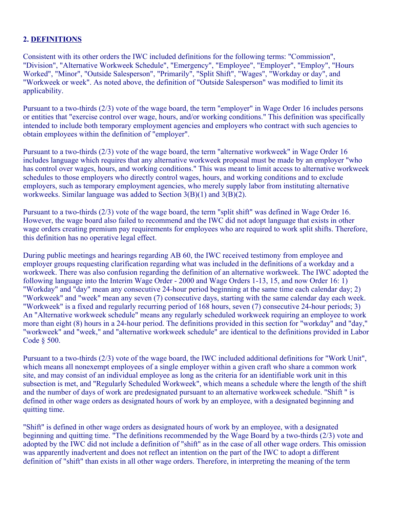## **2. DEFINITIONS**

Consistent with its other orders the IWC included definitions for the following terms: "Commission", "Division", "Alternative Workweek Schedule", "Emergency", "Employee", "Employer", "Employ", "Hours Worked", "Minor", "Outside Salesperson", "Primarily", "Split Shift", "Wages", "Workday or day", and "Workweek or week". As noted above, the definition of "Outside Salesperson" was modified to limit its applicability.

Pursuant to a two-thirds (2/3) vote of the wage board, the term "employer" in Wage Order 16 includes persons or entities that "exercise control over wage, hours, and/or working conditions." This definition was specifically intended to include both temporary employment agencies and employers who contract with such agencies to obtain employees within the definition of "employer".

Pursuant to a two-thirds (2/3) vote of the wage board, the term "alternative workweek" in Wage Order 16 includes language which requires that any alternative workweek proposal must be made by an employer "who has control over wages, hours, and working conditions." This was meant to limit access to alternative workweek schedules to those employers who directly control wages, hours, and working conditions and to exclude employers, such as temporary employment agencies, who merely supply labor from instituting alternative workweeks. Similar language was added to Section 3(B)(1) and 3(B)(2).

Pursuant to a two-thirds (2/3) vote of the wage board, the term "split shift" was defined in Wage Order 16. However, the wage board also failed to recommend and the IWC did not adopt language that exists in other wage orders creating premium pay requirements for employees who are required to work split shifts. Therefore, this definition has no operative legal effect.

During public meetings and hearings regarding AB 60, the IWC received testimony from employee and employer groups requesting clarification regarding what was included in the definitions of a workday and a workweek. There was also confusion regarding the definition of an alternative workweek. The IWC adopted the following language into the Interim Wage Order - 2000 and Wage Orders 1-13, 15, and now Order 16: 1) "Workday" and "day" mean any consecutive 24-hour period beginning at the same time each calendar day; 2) "Workweek" and "week" mean any seven (7) consecutive days, starting with the same calendar day each week. "Workweek" is a fixed and regularly recurring period of 168 hours, seven (7) consecutive 24-hour periods; 3) An "Alternative workweek schedule" means any regularly scheduled workweek requiring an employee to work more than eight (8) hours in a 24-hour period. The definitions provided in this section for "workday" and "day," "workweek" and "week," and "alternative workweek schedule" are identical to the definitions provided in Labor Code § 500.

Pursuant to a two-thirds (2/3) vote of the wage board, the IWC included additional definitions for "Work Unit", which means all nonexempt employees of a single employer within a given craft who share a common work site, and may consist of an individual employee as long as the criteria for an identifiable work unit in this subsection is met, and "Regularly Scheduled Workweek", which means a schedule where the length of the shift and the number of days of work are predesignated pursuant to an alternative workweek schedule. "Shift " is defined in other wage orders as designated hours of work by an employee, with a designated beginning and quitting time.

"Shift" is defined in other wage orders as designated hours of work by an employee, with a designated beginning and quitting time. "The definitions recommended by the Wage Board by a two-thirds (2/3) vote and adopted by the IWC did not include a definition of "shift" as in the case of all other wage orders. This omission was apparently inadvertent and does not reflect an intention on the part of the IWC to adopt a different definition of "shift" than exists in all other wage orders. Therefore, in interpreting the meaning of the term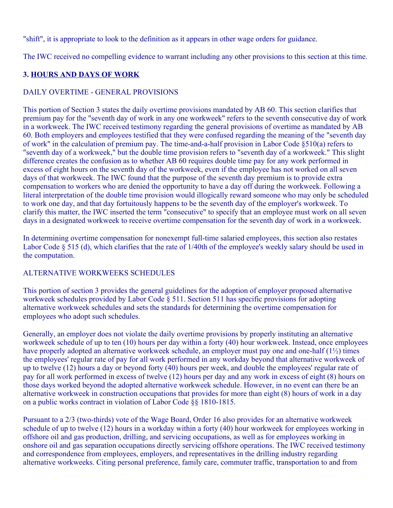"shift", it is appropriate to look to the definition as it appears in other wage orders for guidance.

The IWC received no compelling evidence to warrant including any other provisions to this section at this time.

# **3. HOURS AND DAYS OF WORK**

## DAILY OVERTIME - GENERAL PROVISIONS

This portion of Section 3 states the daily overtime provisions mandated by AB 60. This section clarifies that premium pay for the "seventh day of work in any one workweek" refers to the seventh consecutive day of work in a workweek. The IWC received testimony regarding the general provisions of overtime as mandated by AB 60. Both employers and employees testified that they were confused regarding the meaning of the "seventh day of work" in the calculation of premium pay. The time-and-a-half provision in Labor Code §510(a) refers to "seventh day of a workweek," but the double time provision refers to "seventh day of a workweek." This slight difference creates the confusion as to whether AB 60 requires double time pay for any work performed in excess of eight hours on the seventh day of the workweek, even if the employee has not worked on all seven days of that workweek. The IWC found that the purpose of the seventh day premium is to provide extra compensation to workers who are denied the opportunity to have a day off during the workweek. Following a literal interpretation of the double time provision would illogically reward someone who may only be scheduled to work one day, and that day fortuitously happens to be the seventh day of the employer's workweek. To clarify this matter, the IWC inserted the term "consecutive" to specify that an employee must work on all seven days in a designated workweek to receive overtime compensation for the seventh day of work in a workweek.

In determining overtime compensation for nonexempt full-time salaried employees, this section also restates Labor Code § 515 (d), which clarifies that the rate of 1/40th of the employee's weekly salary should be used in the computation.

## ALTERNATIVE WORKWEEKS SCHEDULES

This portion of section 3 provides the general guidelines for the adoption of employer proposed alternative workweek schedules provided by Labor Code § 511. Section 511 has specific provisions for adopting alternative workweek schedules and sets the standards for determining the overtime compensation for employees who adopt such schedules.

Generally, an employer does not violate the daily overtime provisions by properly instituting an alternative workweek schedule of up to ten (10) hours per day within a forty (40) hour workweek. Instead, once employees have properly adopted an alternative workweek schedule, an employer must pay one and one-half (1½) times the employees' regular rate of pay for all work performed in any workday beyond that alternative workweek of up to twelve (12) hours a day or beyond forty (40) hours per week, and double the employees' regular rate of pay for all work performed in excess of twelve (12) hours per day and any work in excess of eight (8) hours on those days worked beyond the adopted alternative workweek schedule. However, in no event can there be an alternative workweek in construction occupations that provides for more than eight (8) hours of work in a day on a public works contract in violation of Labor Code §§ 1810-1815.

Pursuant to a 2/3 (two-thirds) vote of the Wage Board, Order 16 also provides for an alternative workweek schedule of up to twelve (12) hours in a workday within a forty (40) hour workweek for employees working in offshore oil and gas production, drilling, and servicing occupations, as well as for employees working in onshore oil and gas separation occupations directly servicing offshore operations. The IWC received testimony and correspondence from employees, employers, and representatives in the drilling industry regarding alternative workweeks. Citing personal preference, family care, commuter traffic, transportation to and from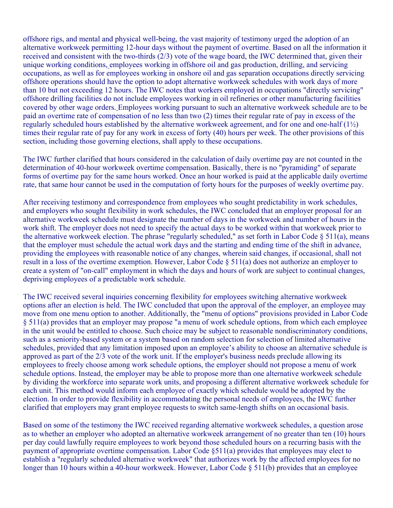offshore rigs, and mental and physical well-being, the vast majority of testimony urged the adoption of an alternative workweek permitting 12-hour days without the payment of overtime. Based on all the information it received and consistent with the two-thirds (2/3) vote of the wage board, the IWC determined that, given their unique working conditions, employees working in offshore oil and gas production, drilling, and servicing occupations, as well as for employees working in onshore oil and gas separation occupations directly servicing offshore operations should have the option to adopt alternative workweek schedules with work days of more than 10 but not exceeding 12 hours. The IWC notes that workers employed in occupations "directly servicing" offshore drilling facilities do not include employees working in oil refineries or other manufacturing facilities covered by other wage orders. Employees working pursuant to such an alternative workweek schedule are to be paid an overtime rate of compensation of no less than two (2) times their regular rate of pay in excess of the regularly scheduled hours established by the alternative workweek agreement, and for one and one-half  $(1\frac{1}{2})$ times their regular rate of pay for any work in excess of forty (40) hours per week. The other provisions of this section, including those governing elections, shall apply to these occupations.

The IWC further clarified that hours considered in the calculation of daily overtime pay are not counted in the determination of 40-hour workweek overtime compensation. Basically, there is no "pyramiding" of separate forms of overtime pay for the same hours worked. Once an hour worked is paid at the applicable daily overtime rate, that same hour cannot be used in the computation of forty hours for the purposes of weekly overtime pay.

After receiving testimony and correspondence from employees who sought predictability in work schedules, and employers who sought flexibility in work schedules, the IWC concluded that an employer proposal for an alternative workweek schedule must designate the number of days in the workweek and number of hours in the work shift. The employer does not need to specify the actual days to be worked within that workweek prior to the alternative workweek election. The phrase "regularly scheduled," as set forth in Labor Code § 511(a), means that the employer must schedule the actual work days and the starting and ending time of the shift in advance, providing the employees with reasonable notice of any changes, wherein said changes, if occasional, shall not result in a loss of the overtime exemption. However, Labor Code § 511(a) does not authorize an employer to create a system of "on-call" employment in which the days and hours of work are subject to continual changes, depriving employees of a predictable work schedule.

The IWC received several inquiries concerning flexibility for employees switching alternative workweek options after an election is held. The IWC concluded that upon the approval of the employer, an employee may move from one menu option to another. Additionally, the "menu of options" provisions provided in Labor Code § 511(a) provides that an employer may propose "a menu of work schedule options, from which each employee in the unit would be entitled to choose. Such choice may be subject to reasonable nondiscriminatory conditions, such as a seniority-based system or a system based on random selection for selection of limited alternative schedules, provided that any limitation imposed upon an employee's ability to choose an alternative schedule is approved as part of the 2/3 vote of the work unit. If the employer's business needs preclude allowing its employees to freely choose among work schedule options, the employer should not propose a menu of work schedule options. Instead, the employer may be able to propose more than one alternative workweek schedule by dividing the workforce into separate work units, and proposing a different alternative workweek schedule for each unit. This method would inform each employee of exactly which schedule would be adopted by the election. In order to provide flexibility in accommodating the personal needs of employees, the IWC further clarified that employers may grant employee requests to switch same-length shifts on an occasional basis.

Based on some of the testimony the IWC received regarding alternative workweek schedules, a question arose as to whether an employer who adopted an alternative workweek arrangement of no greater than ten (10) hours per day could lawfully require employees to work beyond those scheduled hours on a recurring basis with the payment of appropriate overtime compensation. Labor Code §511(a) provides that employees may elect to establish a "regularly scheduled alternative workweek" that authorizes work by the affected employees for no longer than 10 hours within a 40-hour workweek. However, Labor Code § 511(b) provides that an employee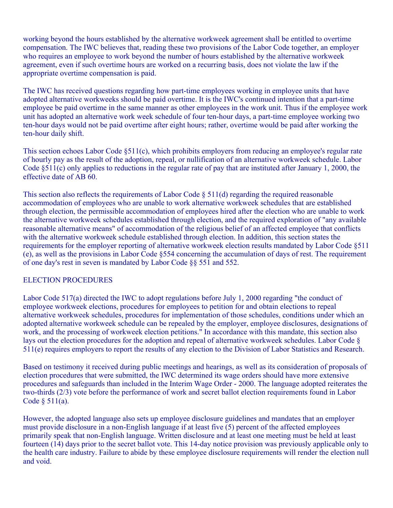working beyond the hours established by the alternative workweek agreement shall be entitled to overtime compensation. The IWC believes that, reading these two provisions of the Labor Code together, an employer who requires an employee to work beyond the number of hours established by the alternative workweek agreement, even if such overtime hours are worked on a recurring basis, does not violate the law if the appropriate overtime compensation is paid.

The IWC has received questions regarding how part-time employees working in employee units that have adopted alternative workweeks should be paid overtime. It is the IWC's continued intention that a part-time employee be paid overtime in the same manner as other employees in the work unit. Thus if the employee work unit has adopted an alternative work week schedule of four ten-hour days, a part-time employee working two ten-hour days would not be paid overtime after eight hours; rather, overtime would be paid after working the ten-hour daily shift.

This section echoes Labor Code §511(c), which prohibits employers from reducing an employee's regular rate of hourly pay as the result of the adoption, repeal, or nullification of an alternative workweek schedule. Labor Code  $\S511(c)$  only applies to reductions in the regular rate of pay that are instituted after January 1, 2000, the effective date of AB 60.

This section also reflects the requirements of Labor Code § 511(d) regarding the required reasonable accommodation of employees who are unable to work alternative workweek schedules that are established through election, the permissible accommodation of employees hired after the election who are unable to work the alternative workweek schedules established through election, and the required exploration of "any available reasonable alternative means" of accommodation of the religious belief of an affected employee that conflicts with the alternative workweek schedule established through election. In addition, this section states the requirements for the employer reporting of alternative workweek election results mandated by Labor Code §511 (e), as well as the provisions in Labor Code §554 concerning the accumulation of days of rest. The requirement of one day's rest in seven is mandated by Labor Code §§ 551 and 552.

## ELECTION PROCEDURES

Labor Code 517(a) directed the IWC to adopt regulations before July 1, 2000 regarding "the conduct of employee workweek elections, procedures for employees to petition for and obtain elections to repeal alternative workweek schedules, procedures for implementation of those schedules, conditions under which an adopted alternative workweek schedule can be repealed by the employer, employee disclosures, designations of work, and the processing of workweek election petitions." In accordance with this mandate, this section also lays out the election procedures for the adoption and repeal of alternative workweek schedules. Labor Code § 511(e) requires employers to report the results of any election to the Division of Labor Statistics and Research.

Based on testimony it received during public meetings and hearings, as well as its consideration of proposals of election procedures that were submitted, the IWC determined its wage orders should have more extensive procedures and safeguards than included in the Interim Wage Order - 2000. The language adopted reiterates the two-thirds (2/3) vote before the performance of work and secret ballot election requirements found in Labor Code § 511(a).

However, the adopted language also sets up employee disclosure guidelines and mandates that an employer must provide disclosure in a non-English language if at least five (5) percent of the affected employees primarily speak that non-English language. Written disclosure and at least one meeting must be held at least fourteen (14) days prior to the secret ballot vote. This 14-day notice provision was previously applicable only to the health care industry. Failure to abide by these employee disclosure requirements will render the election null and void.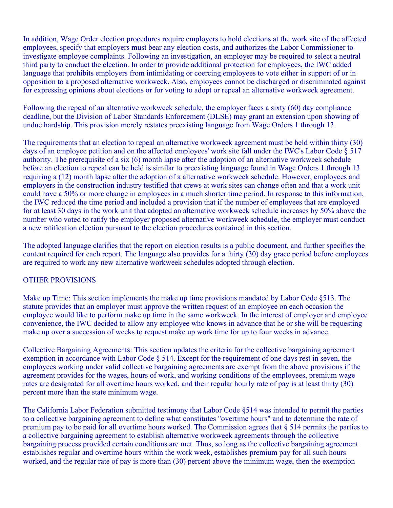In addition, Wage Order election procedures require employers to hold elections at the work site of the affected employees, specify that employers must bear any election costs, and authorizes the Labor Commissioner to investigate employee complaints. Following an investigation, an employer may be required to select a neutral third party to conduct the election. In order to provide additional protection for employees, the IWC added language that prohibits employers from intimidating or coercing employees to vote either in support of or in opposition to a proposed alternative workweek. Also, employees cannot be discharged or discriminated against for expressing opinions about elections or for voting to adopt or repeal an alternative workweek agreement.

Following the repeal of an alternative workweek schedule, the employer faces a sixty (60) day compliance deadline, but the Division of Labor Standards Enforcement (DLSE) may grant an extension upon showing of undue hardship. This provision merely restates preexisting language from Wage Orders 1 through 13.

The requirements that an election to repeal an alternative workweek agreement must be held within thirty (30) days of an employee petition and on the affected employees' work site fall under the IWC's Labor Code § 517 authority. The prerequisite of a six (6) month lapse after the adoption of an alternative workweek schedule before an election to repeal can be held is similar to preexisting language found in Wage Orders 1 through 13 requiring a (12) month lapse after the adoption of a alternative workweek schedule. However, employees and employers in the construction industry testified that crews at work sites can change often and that a work unit could have a 50% or more change in employees in a much shorter time period. In response to this information, the IWC reduced the time period and included a provision that if the number of employees that are employed for at least 30 days in the work unit that adopted an alternative workweek schedule increases by 50% above the number who voted to ratify the employer proposed alternative workweek schedule, the employer must conduct a new ratification election pursuant to the election procedures contained in this section.

The adopted language clarifies that the report on election results is a public document, and further specifies the content required for each report. The language also provides for a thirty (30) day grace period before employees are required to work any new alternative workweek schedules adopted through election.

## OTHER PROVISIONS

Make up Time: This section implements the make up time provisions mandated by Labor Code §513. The statute provides that an employer must approve the written request of an employee on each occasion the employee would like to perform make up time in the same workweek. In the interest of employer and employee convenience, the IWC decided to allow any employee who knows in advance that he or she will be requesting make up over a succession of weeks to request make up work time for up to four weeks in advance.

Collective Bargaining Agreements: This section updates the criteria for the collective bargaining agreement exemption in accordance with Labor Code § 514. Except for the requirement of one days rest in seven, the employees working under valid collective bargaining agreements are exempt from the above provisions if the agreement provides for the wages, hours of work, and working conditions of the employees, premium wage rates are designated for all overtime hours worked, and their regular hourly rate of pay is at least thirty (30) percent more than the state minimum wage.

The California Labor Federation submitted testimony that Labor Code §514 was intended to permit the parties to a collective bargaining agreement to define what constitutes "overtime hours" and to determine the rate of premium pay to be paid for all overtime hours worked. The Commission agrees that § 514 permits the parties to a collective bargaining agreement to establish alternative workweek agreements through the collective bargaining process provided certain conditions are met. Thus, so long as the collective bargaining agreement establishes regular and overtime hours within the work week, establishes premium pay for all such hours worked, and the regular rate of pay is more than (30) percent above the minimum wage, then the exemption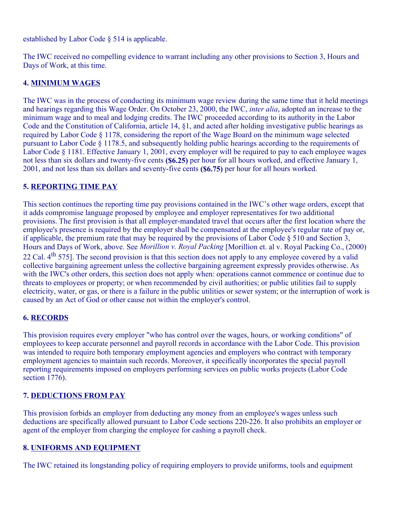established by Labor Code § 514 is applicable.

The IWC received no compelling evidence to warrant including any other provisions to Section 3, Hours and Days of Work, at this time.

## **4. MINIMUM WAGES**

The IWC was in the process of conducting its minimum wage review during the same time that it held meetings and hearings regarding this Wage Order. On October 23, 2000, the IWC, *inter alia*, adopted an increase to the minimum wage and to meal and lodging credits. The IWC proceeded according to its authority in the Labor Code and the Constitution of California, article 14, §1, and acted after holding investigative public hearings as required by Labor Code § 1178, considering the report of the Wage Board on the minimum wage selected pursuant to Labor Code § 1178.5, and subsequently holding public hearings according to the requirements of Labor Code § 1181. Effective January 1, 2001, every employer will be required to pay to each employee wages not less than six dollars and twenty-five cents **(\$6.25)** per hour for all hours worked, and effective January 1, 2001, and not less than six dollars and seventy-five cents **(\$6.75)** per hour for all hours worked.

## **5. REPORTING TIME PAY**

This section continues the reporting time pay provisions contained in the IWC's other wage orders, except that it adds compromise language proposed by employee and employer representatives for two additional provisions. The first provision is that all employer-mandated travel that occurs after the first location where the employee's presence is required by the employer shall be compensated at the employee's regular rate of pay or, if applicable, the premium rate that may be required by the provisions of Labor Code § 510 and Section 3, Hours and Days of Work, above. See *Morillion v. Royal Packing* [Morillion et. al v. Royal Packing Co., (2000) 22 Cal. 4<sup>th</sup> 575]. The second provision is that this section does not apply to any employee covered by a valid collective bargaining agreement unless the collective bargaining agreement expressly provides otherwise. As with the IWC's other orders, this section does not apply when: operations cannot commence or continue due to threats to employees or property; or when recommended by civil authorities; or public utilities fail to supply electricity, water, or gas, or there is a failure in the public utilities or sewer system; or the interruption of work is caused by an Act of God or other cause not within the employer's control.

## **6. RECORDS**

This provision requires every employer "who has control over the wages, hours, or working conditions" of employees to keep accurate personnel and payroll records in accordance with the Labor Code. This provision was intended to require both temporary employment agencies and employers who contract with temporary employment agencies to maintain such records. Moreover, it specifically incorporates the special payroll reporting requirements imposed on employers performing services on public works projects (Labor Code section 1776).

## **7. DEDUCTIONS FROM PAY**

This provision forbids an employer from deducting any money from an employee's wages unless such deductions are specifically allowed pursuant to Labor Code sections 220-226. It also prohibits an employer or agent of the employer from charging the employee for cashing a payroll check.

#### **8. UNIFORMS AND EQUIPMENT**

The IWC retained its longstanding policy of requiring employers to provide uniforms, tools and equipment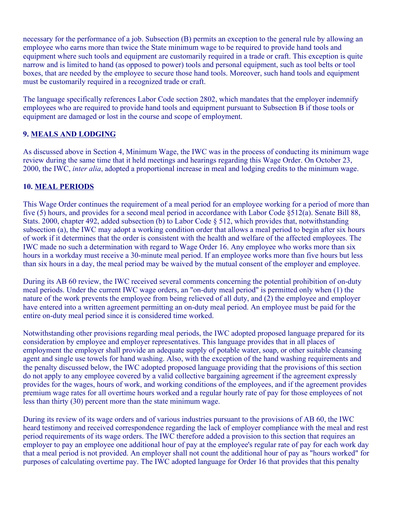necessary for the performance of a job. Subsection (B) permits an exception to the general rule by allowing an employee who earns more than twice the State minimum wage to be required to provide hand tools and equipment where such tools and equipment are customarily required in a trade or craft. This exception is quite narrow and is limited to hand (as opposed to power) tools and personal equipment, such as tool belts or tool boxes, that are needed by the employee to secure those hand tools. Moreover, such hand tools and equipment must be customarily required in a recognized trade or craft.

The language specifically references Labor Code section 2802, which mandates that the employer indemnify employees who are required to provide hand tools and equipment pursuant to Subsection B if those tools or equipment are damaged or lost in the course and scope of employment.

## **9. MEALS AND LODGING**

As discussed above in Section 4, Minimum Wage, the IWC was in the process of conducting its minimum wage review during the same time that it held meetings and hearings regarding this Wage Order. On October 23, 2000, the IWC, *inter alia*, adopted a proportional increase in meal and lodging credits to the minimum wage.

## **10. MEAL PERIODS**

This Wage Order continues the requirement of a meal period for an employee working for a period of more than five (5) hours, and provides for a second meal period in accordance with Labor Code §512(a). Senate Bill 88, Stats. 2000, chapter 492, added subsection (b) to Labor Code  $\S 512$ , which provides that, notwithstanding subsection (a), the IWC may adopt a working condition order that allows a meal period to begin after six hours of work if it determines that the order is consistent with the health and welfare of the affected employees. The IWC made no such a determination with regard to Wage Order 16. Any employee who works more than six hours in a workday must receive a 30-minute meal period. If an employee works more than five hours but less than six hours in a day, the meal period may be waived by the mutual consent of the employer and employee.

During its AB 60 review, the IWC received several comments concerning the potential prohibition of on-duty meal periods. Under the current IWC wage orders, an "on-duty meal period" is permitted only when (1) the nature of the work prevents the employee from being relieved of all duty, and (2) the employee and employer have entered into a written agreement permitting an on-duty meal period. An employee must be paid for the entire on-duty meal period since it is considered time worked.

Notwithstanding other provisions regarding meal periods, the IWC adopted proposed language prepared for its consideration by employee and employer representatives. This language provides that in all places of employment the employer shall provide an adequate supply of potable water, soap, or other suitable cleansing agent and single use towels for hand washing. Also, with the exception of the hand washing requirements and the penalty discussed below, the IWC adopted proposed language providing that the provisions of this section do not apply to any employee covered by a valid collective bargaining agreement if the agreement expressly provides for the wages, hours of work, and working conditions of the employees, and if the agreement provides premium wage rates for all overtime hours worked and a regular hourly rate of pay for those employees of not less than thirty (30) percent more than the state minimum wage.

During its review of its wage orders and of various industries pursuant to the provisions of AB 60, the IWC heard testimony and received correspondence regarding the lack of employer compliance with the meal and rest period requirements of its wage orders. The IWC therefore added a provision to this section that requires an employer to pay an employee one additional hour of pay at the employee's regular rate of pay for each work day that a meal period is not provided. An employer shall not count the additional hour of pay as "hours worked" for purposes of calculating overtime pay. The IWC adopted language for Order 16 that provides that this penalty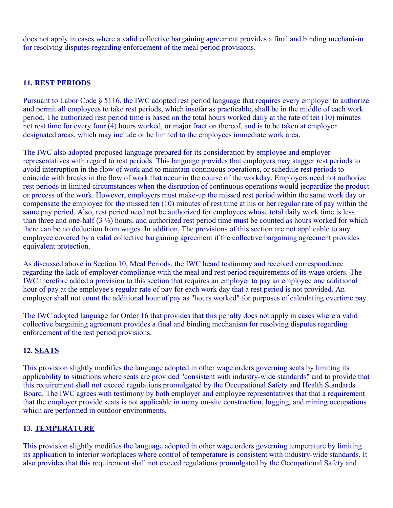does not apply in cases where a valid collective bargaining agreement provides a final and binding mechanism for resolving disputes regarding enforcement of the meal period provisions.

# **11. REST PERIODS**

Pursuant to Labor Code § 5116, the IWC adopted rest period language that requires every employer to authorize and permit all employees to take rest periods, which insofar as practicable, shall be in the middle of each work period. The authorized rest period time is based on the total hours worked daily at the rate of ten (10) minutes net rest time for every four (4) hours worked, or major fraction thereof, and is to be taken at employer designated areas, which may include or be limited to the employees immediate work area.

The IWC also adopted proposed language prepared for its consideration by employee and employer representatives with regard to rest periods. This language provides that employers may stagger rest periods to avoid interruption in the flow of work and to maintain continuous operations, or schedule rest periods to coincide with breaks in the flow of work that occur in the course of the workday. Employers need not authorize rest periods in limited circumstances when the disruption of continuous operations would jeopardize the product or process of the work. However, employers must make-up the missed rest period within the same work day or compensate the employee for the missed ten (10) minutes of rest time at his or her regular rate of pay within the same pay period. Also, rest period need not be authorized for employees whose total daily work time is less than three and one-half  $(3 \frac{1}{2})$  hours, and authorized rest period time must be counted as hours worked for which there can be no deduction from wages. In addition, The provisions of this section are not applicable to any employee covered by a valid collective bargaining agreement if the collective bargaining agreement provides equivalent protection.

As discussed above in Section 10, Meal Periods, the IWC heard testimony and received correspondence regarding the lack of employer compliance with the meal and rest period requirements of its wage orders. The IWC therefore added a provision to this section that requires an employer to pay an employee one additional hour of pay at the employee's regular rate of pay for each work day that a rest period is not provided. An employer shall not count the additional hour of pay as "hours worked" for purposes of calculating overtime pay.

The IWC adopted language for Order 16 that provides that this penalty does not apply in cases where a valid collective bargaining agreement provides a final and binding mechanism for resolving disputes regarding enforcement of the rest period provisions.

# **12. SEATS**

This provision slightly modifies the language adopted in other wage orders governing seats by limiting its applicability to situations where seats are provided "consistent with industry-wide standards" and to provide that this requirement shall not exceed regulations promulgated by the Occupational Safety and Health Standards Board. The IWC agrees with testimony by both employer and employee representatives that that a requirement that the employer provide seats is not applicable in many on-site construction, logging, and mining occupations which are performed in outdoor environments.

# **13. TEMPERATURE**

This provision slightly modifies the language adopted in other wage orders governing temperature by limiting its application to interior workplaces where control of temperature is consistent with industry-wide standards. It also provides that this requirement shall not exceed regulations promulgated by the Occupational Safety and